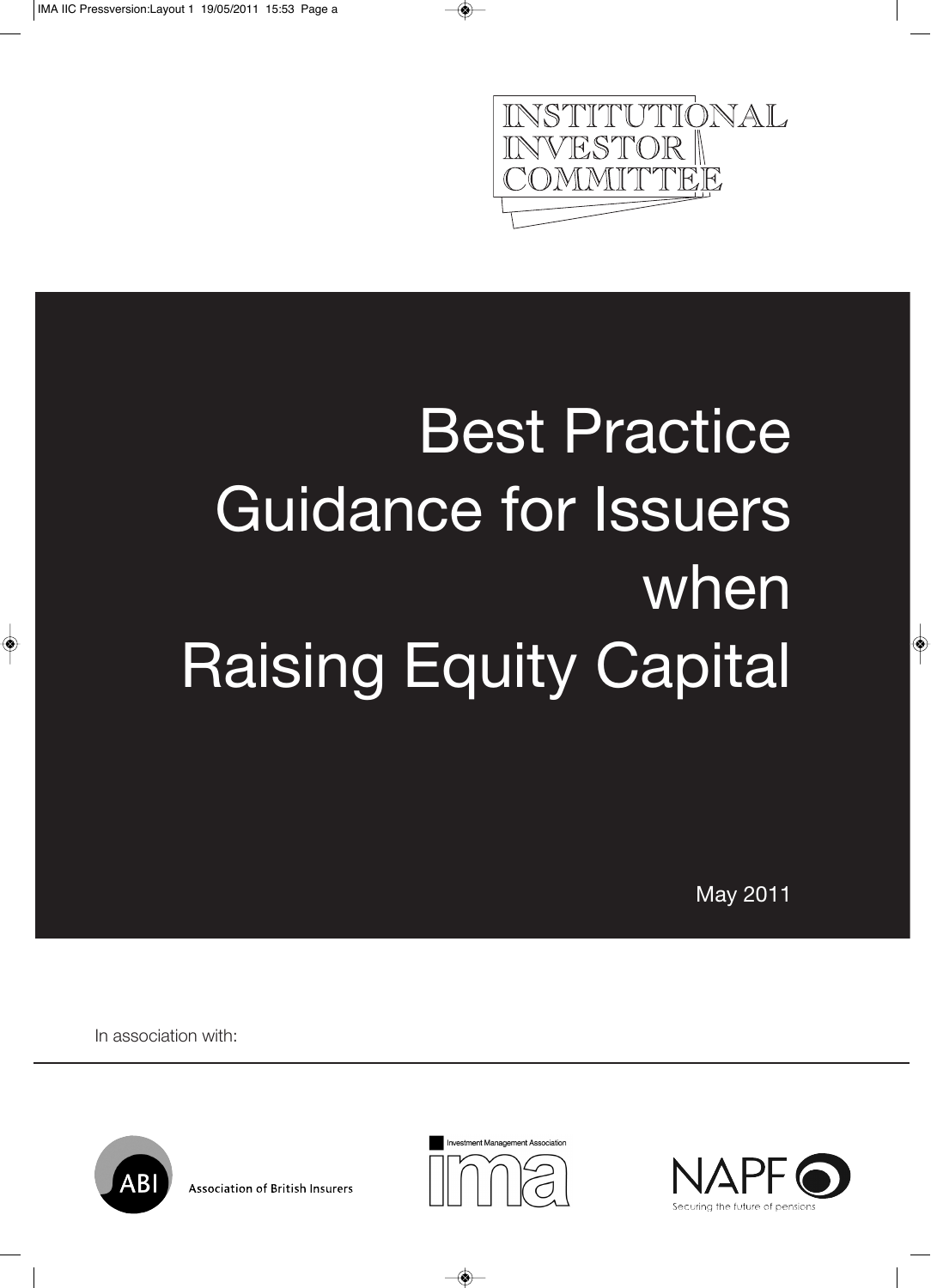

# Best Practice Guidance for Issuers when Raising Equity Capital

May 2011

In association with:







**Association of British Insurers**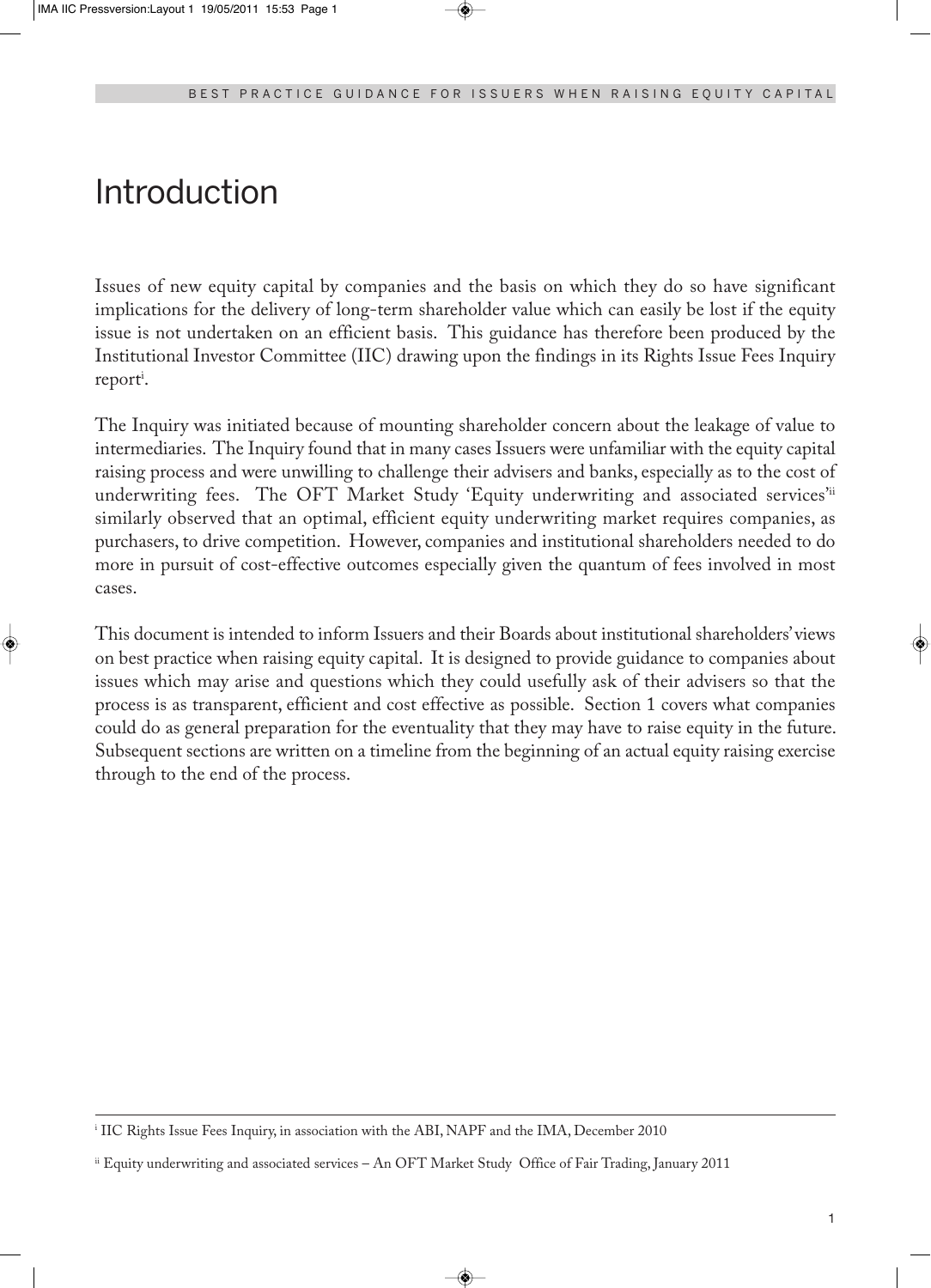### Introduction

Issues of new equity capital by companies and the basis on which they do so have significant implications for the delivery of long-term shareholder value which can easily be lost if the equity issue is not undertaken on an efficient basis. This guidance has therefore been produced by the Institutional Investor Committee (IIC) drawing upon the findings in its Rights Issue Fees Inquiry report<sup>i</sup>.

The Inquiry was initiated because of mounting shareholder concern about the leakage of value to intermediaries. The Inquiry found that in many cases Issuers were unfamiliar with the equity capital raising process and were unwilling to challenge their advisers and banks, especially as to the cost of underwriting fees. The OFT Market Study 'Equity underwriting and associated services'<sup>ii</sup> similarly observed that an optimal, efficient equity underwriting market requires companies, as purchasers, to drive competition. However, companies and institutional shareholders needed to do more in pursuit of cost-effective outcomes especially given the quantum of fees involved in most cases.

This document is intended to inform Issuers and their Boards about institutional shareholders' views on best practice when raising equity capital. It is designed to provide guidance to companies about issues which may arise and questions which they could usefully ask of their advisers so that the process is as transparent, efficient and cost effective as possible. Section 1 covers what companies could do as general preparation for the eventuality that they may have to raise equity in the future. Subsequent sections are written on a timeline from the beginning of an actual equity raising exercise through to the end of the process.

<sup>i</sup> IIC Rights Issue Fees Inquiry, in association with the ABI, NAPF and the IMA, December 2010

ii Equity underwriting and associated services – An OFT Market Study Office of Fair Trading, January 2011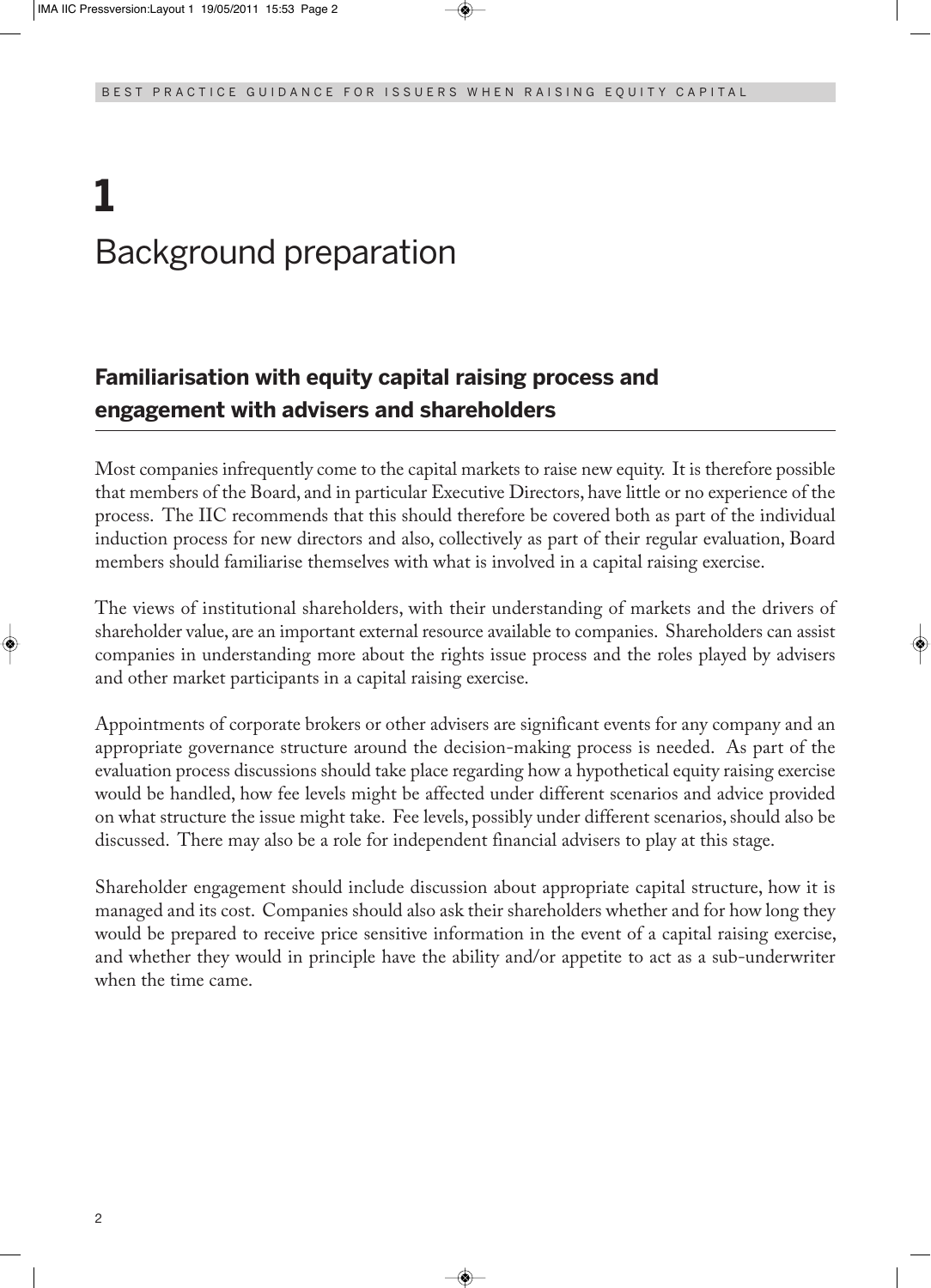# **1** Background preparation

### **Familiarisation with equity capital raising process and engagement with advisers and shareholders**

Most companies infrequently come to the capital markets to raise new equity. It is therefore possible that members of the Board, and in particular Executive Directors, have little or no experience of the process. The IIC recommends that this should therefore be covered both as part of the individual induction process for new directors and also, collectively as part of their regular evaluation, Board members should familiarise themselves with what is involved in a capital raising exercise.

The views of institutional shareholders, with their understanding of markets and the drivers of shareholder value, are an important external resource available to companies. Shareholders can assist companies in understanding more about the rights issue process and the roles played by advisers and other market participants in a capital raising exercise.

Appointments of corporate brokers or other advisers are significant events for any company and an appropriate governance structure around the decision-making process is needed. As part of the evaluation process discussions should take place regarding how a hypothetical equity raising exercise would be handled, how fee levels might be affected under different scenarios and advice provided on what structure the issue might take. Fee levels, possibly under different scenarios,should also be discussed. There may also be a role for independent financial advisers to play at this stage.

Shareholder engagement should include discussion about appropriate capital structure, how it is managed and its cost. Companies should also ask their shareholders whether and for how long they would be prepared to receive price sensitive information in the event of a capital raising exercise, and whether they would in principle have the ability and/or appetite to act as a sub-underwriter when the time came.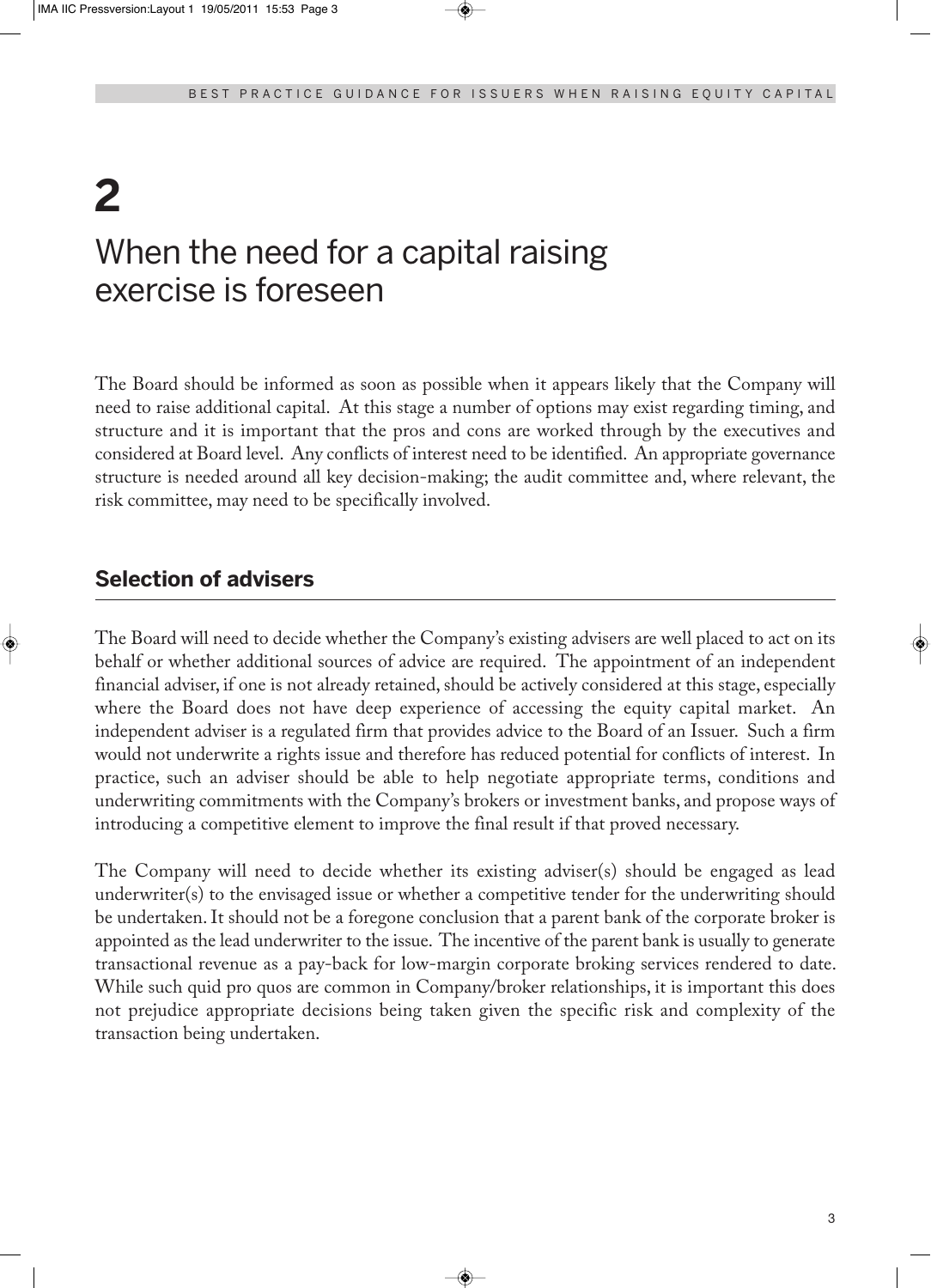### **2** When the need for a capital raising exercise is foreseen

The Board should be informed as soon as possible when it appears likely that the Company will need to raise additional capital. At this stage a number of options may exist regarding timing, and structure and it is important that the pros and cons are worked through by the executives and considered at Board level. Any conflicts of interest need to be identified. An appropriate governance structure is needed around all key decision-making; the audit committee and, where relevant, the risk committee, may need to be specifically involved.

### **Selection of advisers**

The Board will need to decide whether the Company's existing advisers are well placed to act on its behalf or whether additional sources of advice are required. The appointment of an independent financial adviser, if one is not already retained, should be actively considered at this stage, especially where the Board does not have deep experience of accessing the equity capital market. An independent adviser is a regulated firm that provides advice to the Board of an Issuer. Such a firm would not underwrite a rights issue and therefore has reduced potential for conflicts of interest. In practice, such an adviser should be able to help negotiate appropriate terms, conditions and underwriting commitments with the Company's brokers or investment banks, and propose ways of introducing a competitive element to improve the final result if that proved necessary.

The Company will need to decide whether its existing adviser(s) should be engaged as lead underwriter(s) to the envisaged issue or whether a competitive tender for the underwriting should be undertaken.It should not be a foregone conclusion that a parent bank of the corporate broker is appointed as the lead underwriter to the issue. The incentive of the parent bank is usually to generate transactional revenue as a pay-back for low-margin corporate broking services rendered to date. While such quid pro quos are common in Company/broker relationships, it is important this does not prejudice appropriate decisions being taken given the specific risk and complexity of the transaction being undertaken.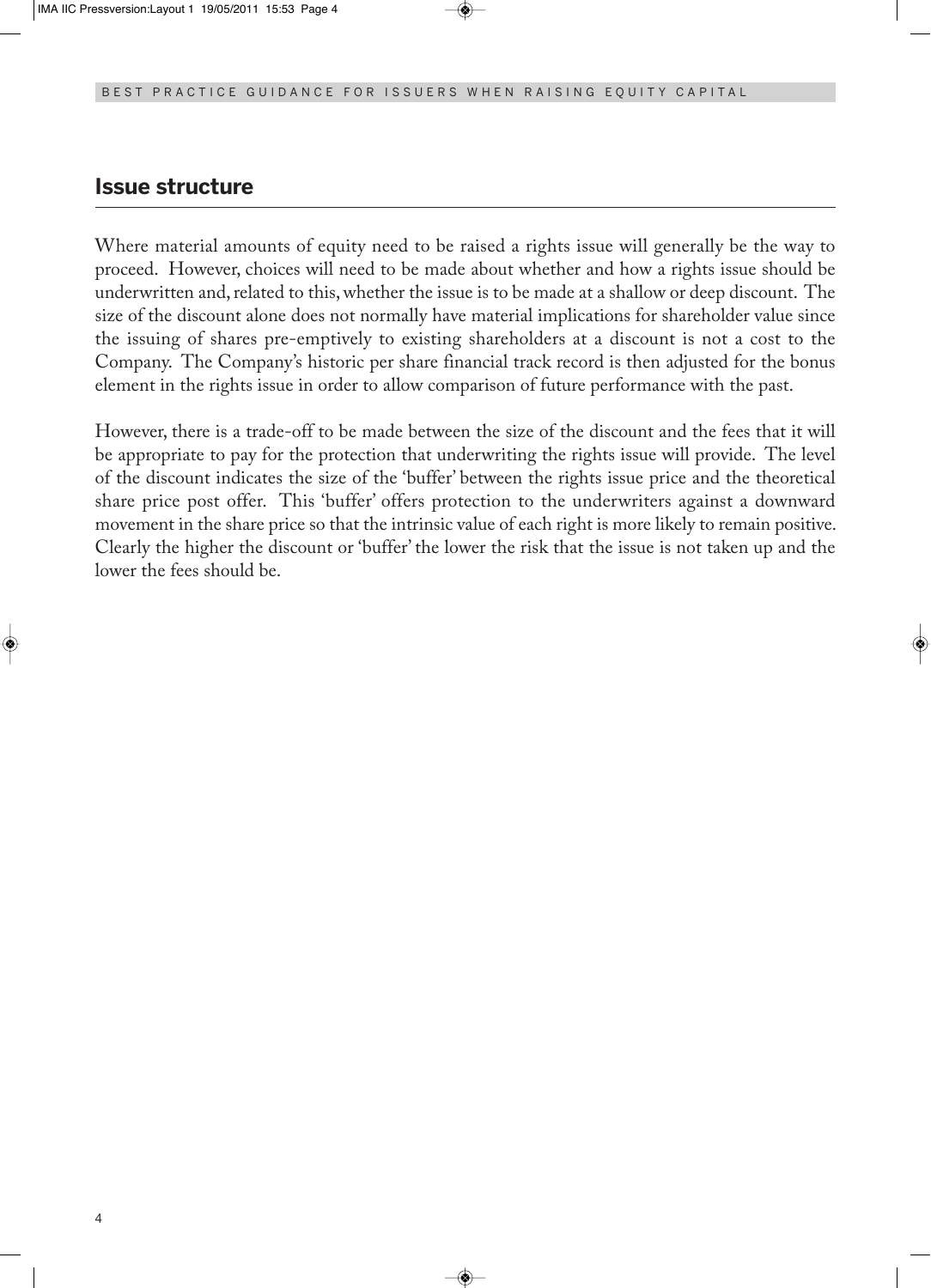#### **Issue structure**

Where material amounts of equity need to be raised a rights issue will generally be the way to proceed. However, choices will need to be made about whether and how a rights issue should be underwritten and, related to this, whether the issue is to be made at a shallow or deep discount. The size of the discount alone does not normally have material implications for shareholder value since the issuing of shares pre-emptively to existing shareholders at a discount is not a cost to the Company. The Company's historic per share financial track record is then adjusted for the bonus element in the rights issue in order to allow comparison of future performance with the past.

However, there is a trade-off to be made between the size of the discount and the fees that it will be appropriate to pay for the protection that underwriting the rights issue will provide. The level of the discount indicates the size of the 'buffer' between the rights issue price and the theoretical share price post offer. This 'buffer' offers protection to the underwriters against a downward movement in the share price so that the intrinsic value of each right is more likely to remain positive. Clearly the higher the discount or 'buffer' the lower the risk that the issue is not taken up and the lower the fees should be.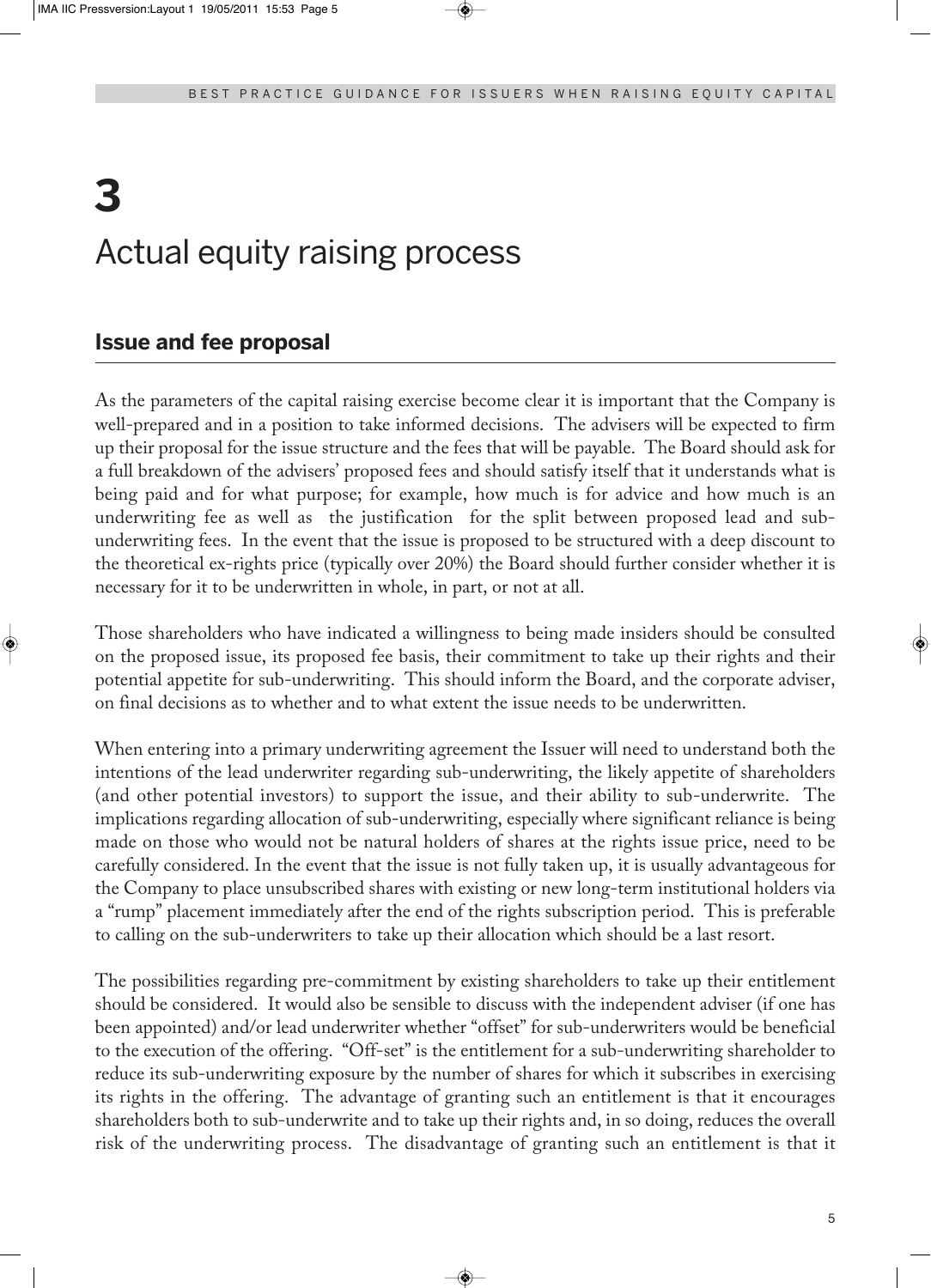# **3** Actual equity raising process

### **Issue and fee proposal**

As the parameters of the capital raising exercise become clear it is important that the Company is well-prepared and in a position to take informed decisions. The advisers will be expected to firm up their proposal for the issue structure and the fees that will be payable. The Board should ask for a full breakdown of the advisers' proposed fees and should satisfy itself that it understands what is being paid and for what purpose; for example, how much is for advice and how much is an underwriting fee as well as the justification for the split between proposed lead and subunderwriting fees. In the event that the issue is proposed to be structured with a deep discount to the theoretical ex-rights price (typically over 20%) the Board should further consider whether it is necessary for it to be underwritten in whole, in part, or not at all.

Those shareholders who have indicated a willingness to being made insiders should be consulted on the proposed issue, its proposed fee basis, their commitment to take up their rights and their potential appetite for sub-underwriting. This should inform the Board, and the corporate adviser, on final decisions as to whether and to what extent the issue needs to be underwritten.

When entering into a primary underwriting agreement the Issuer will need to understand both the intentions of the lead underwriter regarding sub-underwriting, the likely appetite of shareholders (and other potential investors) to support the issue, and their ability to sub-underwrite. The implications regarding allocation of sub-underwriting, especially where significant reliance is being made on those who would not be natural holders of shares at the rights issue price, need to be carefully considered. In the event that the issue is not fully taken up, it is usually advantageous for the Company to place unsubscribed shares with existing or new long-term institutional holders via a "rump" placement immediately after the end of the rights subscription period. This is preferable to calling on the sub-underwriters to take up their allocation which should be a last resort.

The possibilities regarding pre-commitment by existing shareholders to take up their entitlement should be considered. It would also be sensible to discuss with the independent adviser (if one has been appointed) and/or lead underwriter whether "offset" for sub-underwriters would be beneficial to the execution of the offering. "Off-set" is the entitlement for a sub-underwriting shareholder to reduce its sub-underwriting exposure by the number of shares for which it subscribes in exercising its rights in the offering. The advantage of granting such an entitlement is that it encourages shareholders both to sub-underwrite and to take up their rights and, in so doing, reduces the overall risk of the underwriting process. The disadvantage of granting such an entitlement is that it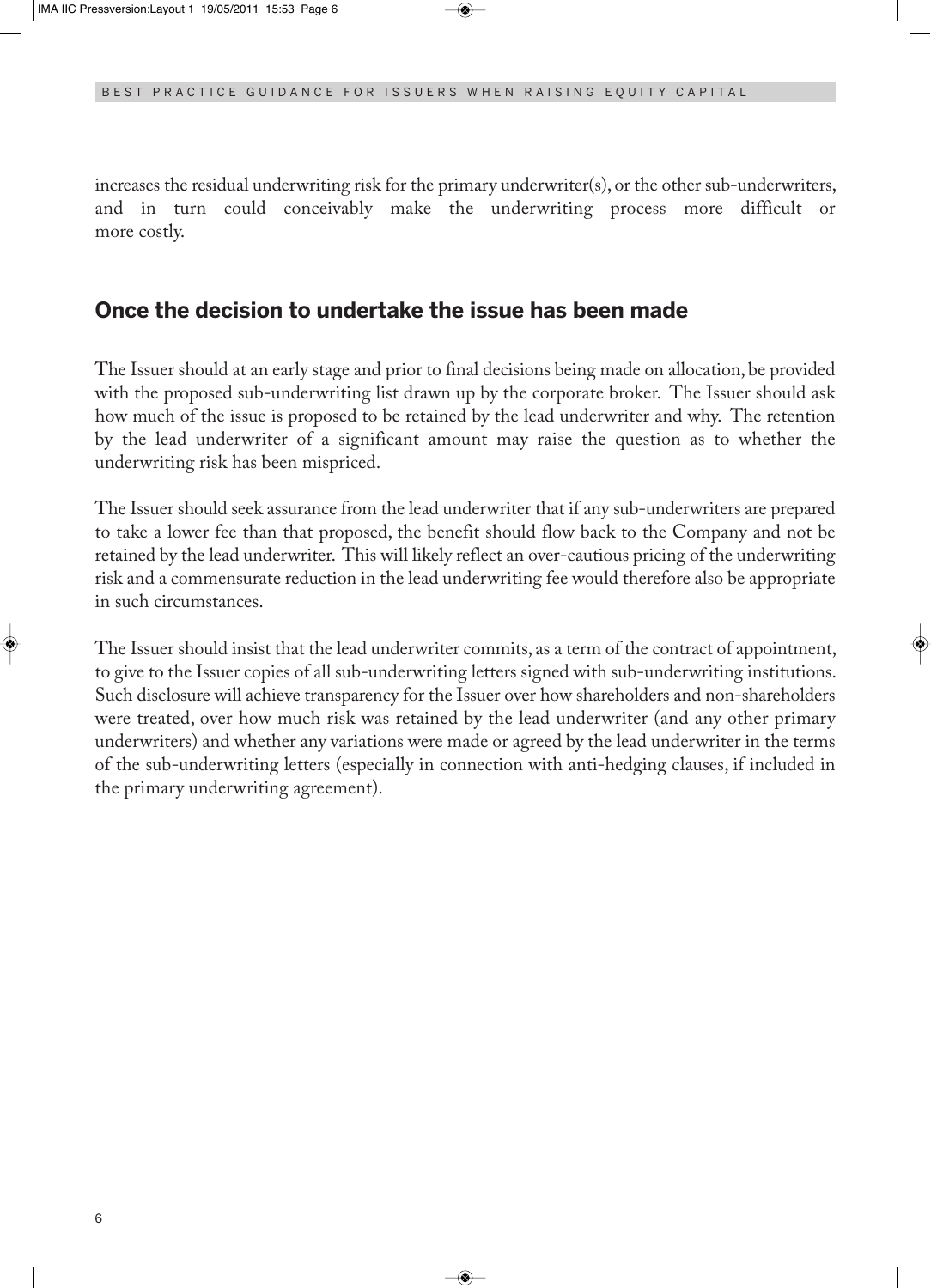increases the residual underwriting risk for the primary underwriter(s), or the other sub-underwriters, and in turn could conceivably make the underwriting process more difficult or more costly.

#### **Once the decision to undertake the issue has been made**

The Issuer should at an early stage and prior to final decisions being made on allocation, be provided with the proposed sub-underwriting list drawn up by the corporate broker. The Issuer should ask how much of the issue is proposed to be retained by the lead underwriter and why. The retention by the lead underwriter of a significant amount may raise the question as to whether the underwriting risk has been mispriced.

The Issuer should seek assurance from the lead underwriter that if any sub-underwriters are prepared to take a lower fee than that proposed, the benefit should flow back to the Company and not be retained by the lead underwriter. This will likely reflect an over-cautious pricing of the underwriting risk and a commensurate reduction in the lead underwriting fee would therefore also be appropriate in such circumstances.

The Issuer should insist that the lead underwriter commits, as a term of the contract of appointment, to give to the Issuer copies of all sub-underwriting letters signed with sub-underwriting institutions. Such disclosure will achieve transparency for the Issuer over how shareholders and non-shareholders were treated, over how much risk was retained by the lead underwriter (and any other primary underwriters) and whether any variations were made or agreed by the lead underwriter in the terms of the sub-underwriting letters (especially in connection with anti-hedging clauses, if included in the primary underwriting agreement).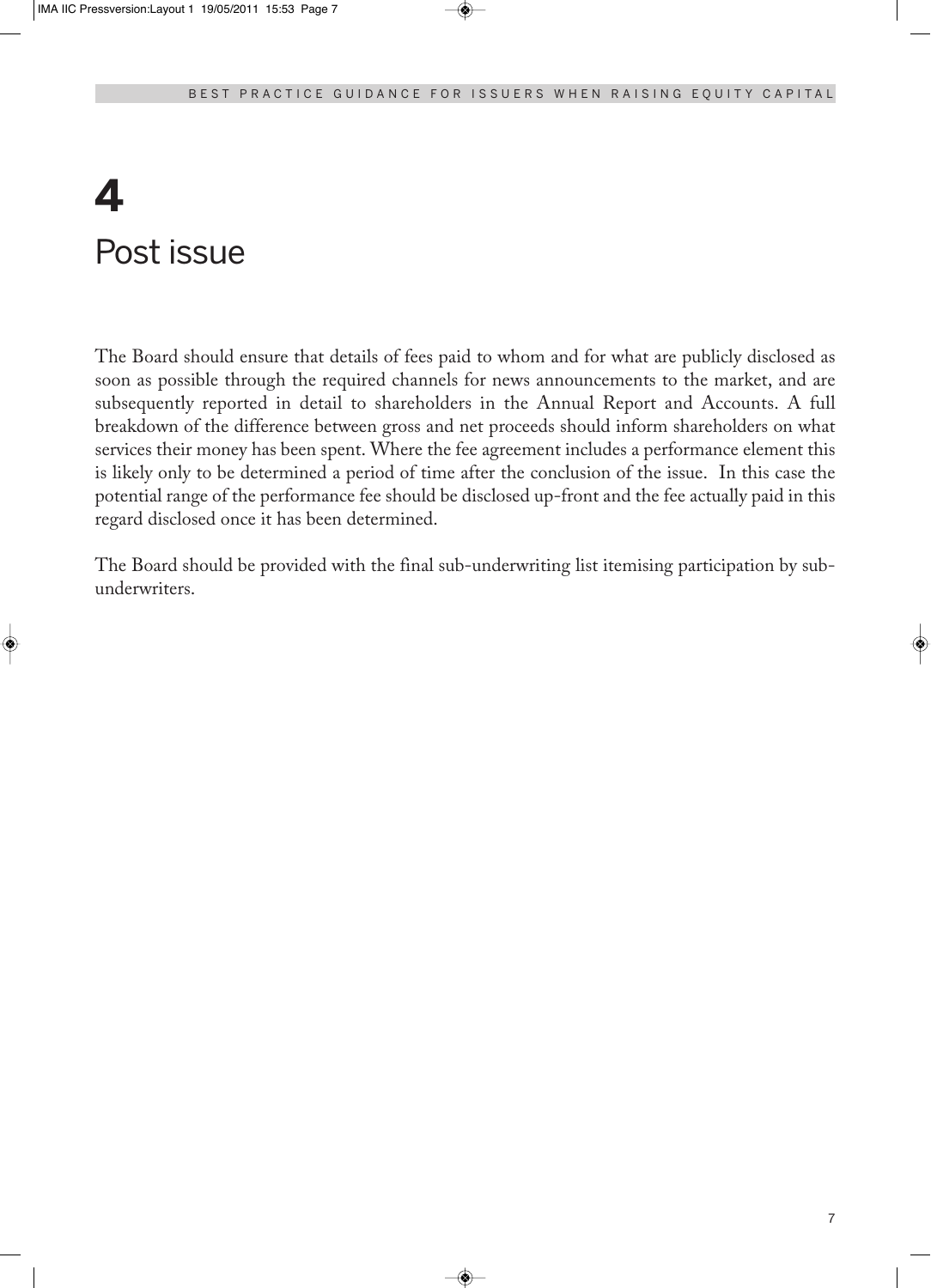## **4** Post issue

The Board should ensure that details of fees paid to whom and for what are publicly disclosed as soon as possible through the required channels for news announcements to the market, and are subsequently reported in detail to shareholders in the Annual Report and Accounts. A full breakdown of the difference between gross and net proceeds should inform shareholders on what services their money has been spent. Where the fee agreement includes a performance element this is likely only to be determined a period of time after the conclusion of the issue. In this case the potential range of the performance fee should be disclosed up-front and the fee actually paid in this regard disclosed once it has been determined.

The Board should be provided with the final sub-underwriting list itemising participation by subunderwriters.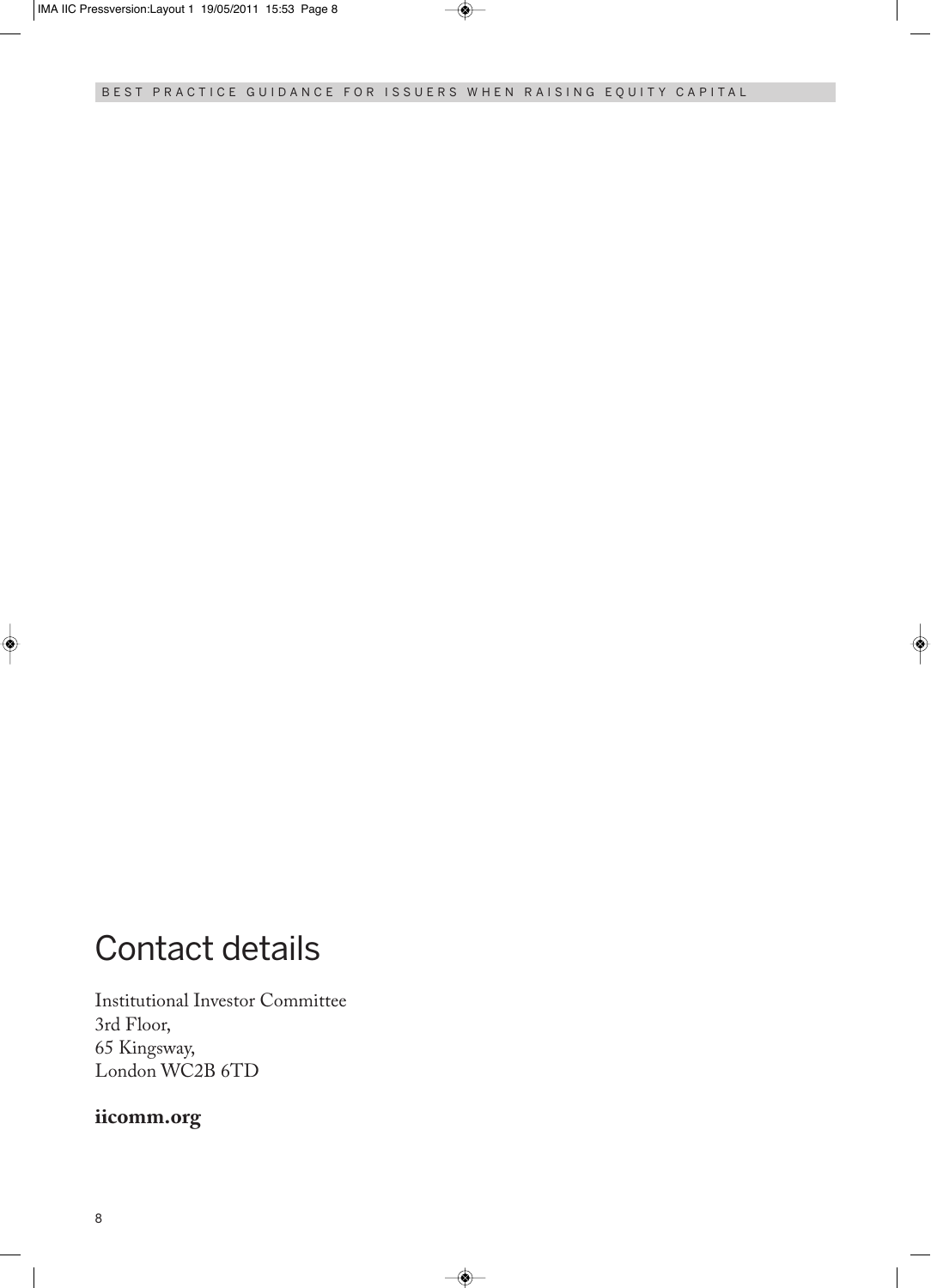### Contact details

Institutional Investor Committee 3rd Floor, 65 Kingsway, London WC2B 6TD

#### **iicomm.org**